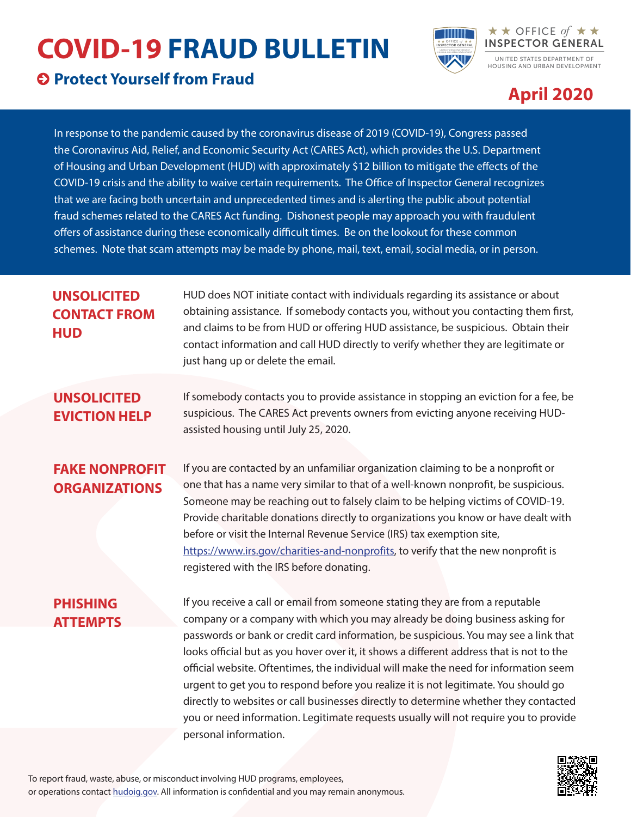## **COVID-19 FRAUD BULLETIN**

#### **Protect Yourself from Fraud**



### **April 2020**

OFFICE of

In response to the pandemic caused by the coronavirus disease of 2019 (COVID-19), Congress passed the Coronavirus Aid, Relief, and Economic Security Act (CARES Act), which provides the U.S. Department of Housing and Urban Development (HUD) with approximately \$12 billion to mitigate the effects of the COVID-19 crisis and the ability to waive certain requirements. The Office of Inspector General recognizes that we are facing both uncertain and unprecedented times and is alerting the public about potential fraud schemes related to the CARES Act funding. Dishonest people may approach you with fraudulent offers of assistance during these economically difficult times. Be on the lookout for these common schemes. Note that scam attempts may be made by phone, mail, text, email, social media, or in person.

#### **UNSOLICITED CONTACT FROM HUD**

HUD does NOT initiate contact with individuals regarding its assistance or about obtaining assistance. If somebody contacts you, without you contacting them first, and claims to be from HUD or offering HUD assistance, be suspicious. Obtain their contact information and call HUD directly to verify whether they are legitimate or just hang up or delete the email.

#### **UNSOLICITED EVICTION HELP**

If somebody contacts you to provide assistance in stopping an eviction for a fee, be suspicious. The CARES Act prevents owners from evicting anyone receiving HUDassisted housing until July 25, 2020.

#### **FAKE NONPROFIT ORGANIZATIONS**

If you are contacted by an unfamiliar organization claiming to be a nonprofit or one that has a name very similar to that of a well-known nonprofit, be suspicious. Someone may be reaching out to falsely claim to be helping victims of COVID-19. Provide charitable donations directly to organizations you know or have dealt with before or visit the Internal Revenue Service (IRS) tax exemption site, [https://www.irs.gov/charities-and-nonprofits,](https://www.irs.gov/charities-and-nonprofits) to verify that the new nonprofit is registered with the IRS before donating.

#### **PHISHING ATTEMPTS**

If you receive a call or email from someone stating they are from a reputable company or a company with which you may already be doing business asking for passwords or bank or credit card information, be suspicious. You may see a link that looks official but as you hover over it, it shows a different address that is not to the official website. Oftentimes, the individual will make the need for information seem urgent to get you to respond before you realize it is not legitimate. You should go directly to websites or call businesses directly to determine whether they contacted you or need information. Legitimate requests usually will not require you to provide personal information.